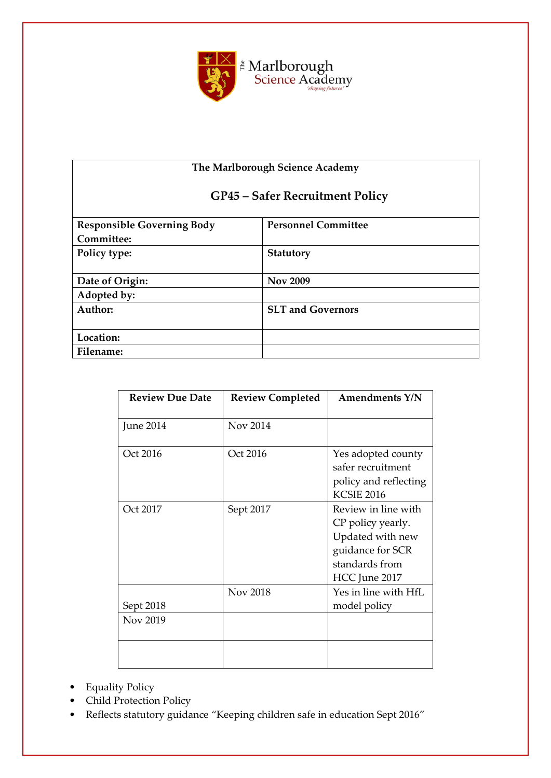

# **The Marlborough Science Academy**

# **GP45 – Safer Recruitment Policy**

| <b>Responsible Governing Body</b> | <b>Personnel Committee</b> |
|-----------------------------------|----------------------------|
| Committee:                        |                            |
| Policy type:                      | Statutory                  |
|                                   |                            |
| Date of Origin:                   | <b>Nov 2009</b>            |
| Adopted by:                       |                            |
| Author:                           | <b>SLT and Governors</b>   |
|                                   |                            |
| Location:                         |                            |
| Filename:                         |                            |
|                                   |                            |

| <b>Review Due Date</b> | <b>Review Completed</b> | <b>Amendments Y/N</b>                                                                                               |
|------------------------|-------------------------|---------------------------------------------------------------------------------------------------------------------|
| June 2014              | Nov 2014                |                                                                                                                     |
| Oct 2016               | Oct 2016                | Yes adopted county<br>safer recruitment<br>policy and reflecting<br><b>KCSIE 2016</b>                               |
| Oct 2017               | Sept 2017               | Review in line with<br>CP policy yearly.<br>Updated with new<br>guidance for SCR<br>standards from<br>HCC June 2017 |
| Sept 2018              | <b>Nov 2018</b>         | Yes in line with HfL<br>model policy                                                                                |
| Nov 2019               |                         |                                                                                                                     |

- Equality Policy
- Child Protection Policy
- Reflects statutory guidance "Keeping children safe in education Sept 2016"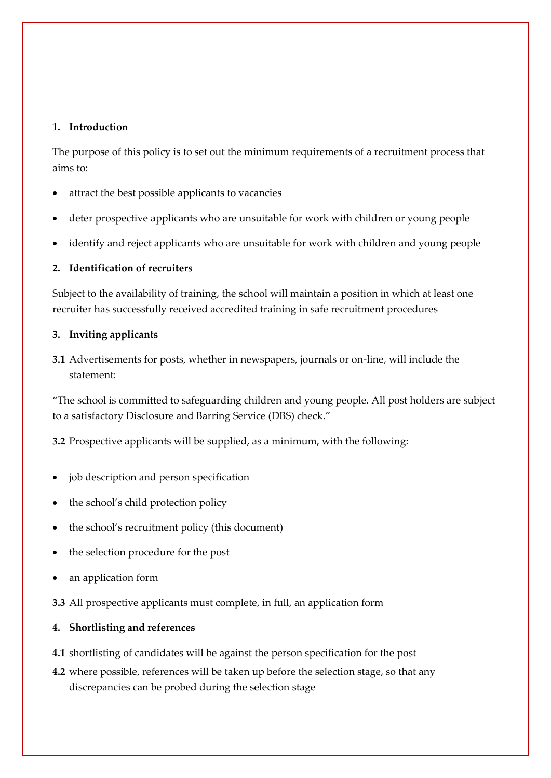### **1. Introduction**

The purpose of this policy is to set out the minimum requirements of a recruitment process that aims to:

- attract the best possible applicants to vacancies
- deter prospective applicants who are unsuitable for work with children or young people
- identify and reject applicants who are unsuitable for work with children and young people

### **2. Identification of recruiters**

Subject to the availability of training, the school will maintain a position in which at least one recruiter has successfully received accredited training in safe recruitment procedures

### **3. Inviting applicants**

**3.1** Advertisements for posts, whether in newspapers, journals or on-line, will include the statement:

"The school is committed to safeguarding children and young people. All post holders are subject to a satisfactory Disclosure and Barring Service (DBS) check."

**3.2** Prospective applicants will be supplied, as a minimum, with the following:

- job description and person specification
- the school's child protection policy
- the school's recruitment policy (this document)
- the selection procedure for the post
- an application form
- **3.3** All prospective applicants must complete, in full, an application form

### **4. Shortlisting and references**

- **4.1** shortlisting of candidates will be against the person specification for the post
- **4.2** where possible, references will be taken up before the selection stage, so that any discrepancies can be probed during the selection stage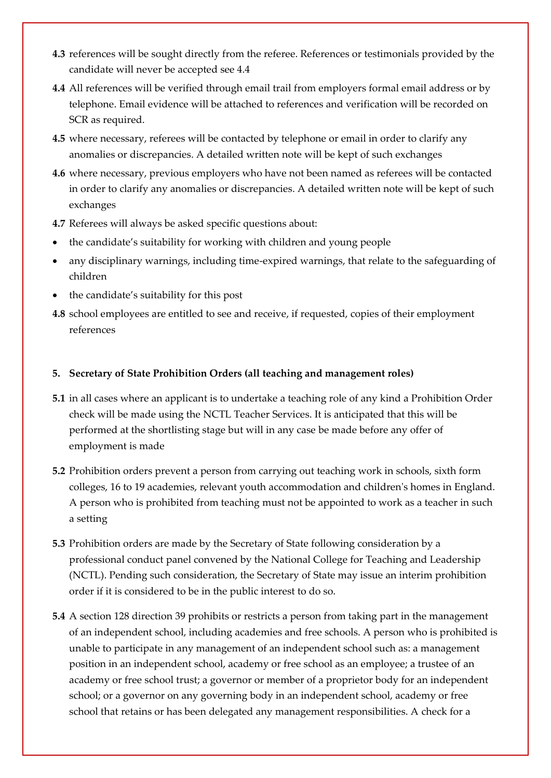- **4.3** references will be sought directly from the referee. References or testimonials provided by the candidate will never be accepted see 4.4
- **4.4** All references will be verified through email trail from employers formal email address or by telephone. Email evidence will be attached to references and verification will be recorded on SCR as required.
- **4.5** where necessary, referees will be contacted by telephone or email in order to clarify any anomalies or discrepancies. A detailed written note will be kept of such exchanges
- **4.6** where necessary, previous employers who have not been named as referees will be contacted in order to clarify any anomalies or discrepancies. A detailed written note will be kept of such exchanges
- **4.7** Referees will always be asked specific questions about:
- the candidate's suitability for working with children and young people
- any disciplinary warnings, including time-expired warnings, that relate to the safeguarding of children
- the candidate's suitability for this post
- **4.8** school employees are entitled to see and receive, if requested, copies of their employment references

### **5. Secretary of State Prohibition Orders (all teaching and management roles)**

- **5.1** in all cases where an applicant is to undertake a teaching role of any kind a Prohibition Order check will be made using the NCTL Teacher Services. It is anticipated that this will be performed at the shortlisting stage but will in any case be made before any offer of employment is made
- **5.2** Prohibition orders prevent a person from carrying out teaching work in schools, sixth form colleges, 16 to 19 academies, relevant youth accommodation and children's homes in England. A person who is prohibited from teaching must not be appointed to work as a teacher in such a setting
- **5.3** Prohibition orders are made by the Secretary of State following consideration by a professional conduct panel convened by the National College for Teaching and Leadership (NCTL). Pending such consideration, the Secretary of State may issue an interim prohibition order if it is considered to be in the public interest to do so.
- **5.4** A section 128 direction 39 prohibits or restricts a person from taking part in the management of an independent school, including academies and free schools. A person who is prohibited is unable to participate in any management of an independent school such as: a management position in an independent school, academy or free school as an employee; a trustee of an academy or free school trust; a governor or member of a proprietor body for an independent school; or a governor on any governing body in an independent school, academy or free school that retains or has been delegated any management responsibilities. A check for a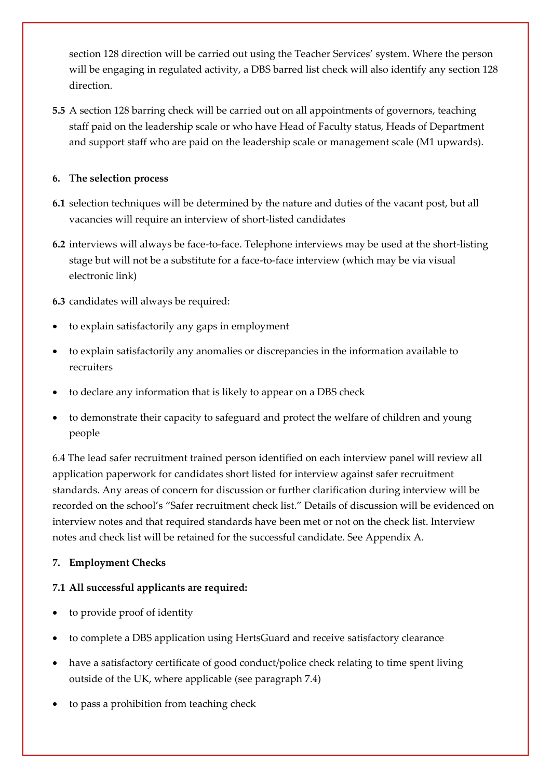section 128 direction will be carried out using the Teacher Services' system. Where the person will be engaging in regulated activity, a DBS barred list check will also identify any section 128 direction.

**5.5** A section 128 barring check will be carried out on all appointments of governors, teaching staff paid on the leadership scale or who have Head of Faculty status, Heads of Department and support staff who are paid on the leadership scale or management scale (M1 upwards).

## **6. The selection process**

- **6.1** selection techniques will be determined by the nature and duties of the vacant post, but all vacancies will require an interview of short-listed candidates
- **6.2** interviews will always be face-to-face. Telephone interviews may be used at the short-listing stage but will not be a substitute for a face-to-face interview (which may be via visual electronic link)
- **6.3** candidates will always be required:
- to explain satisfactorily any gaps in employment
- to explain satisfactorily any anomalies or discrepancies in the information available to recruiters
- to declare any information that is likely to appear on a DBS check
- to demonstrate their capacity to safeguard and protect the welfare of children and young people

6.4 The lead safer recruitment trained person identified on each interview panel will review all application paperwork for candidates short listed for interview against safer recruitment standards. Any areas of concern for discussion or further clarification during interview will be recorded on the school's "Safer recruitment check list." Details of discussion will be evidenced on interview notes and that required standards have been met or not on the check list. Interview notes and check list will be retained for the successful candidate. See Appendix A.

# **7. Employment Checks**

# **7.1 All successful applicants are required:**

- to provide proof of identity
- to complete a DBS application using HertsGuard and receive satisfactory clearance
- have a satisfactory certificate of good conduct/police check relating to time spent living outside of the UK, where applicable (see paragraph 7.4)
- to pass a prohibition from teaching check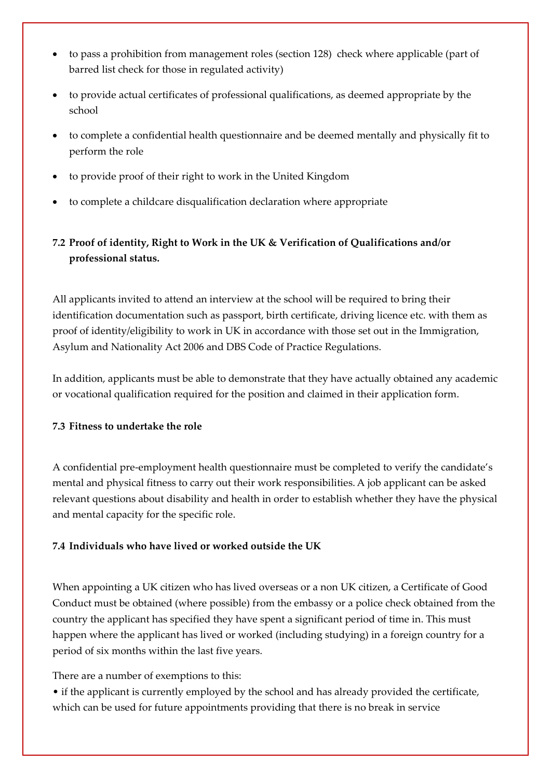- to pass a prohibition from management roles (section 128) check where applicable (part of barred list check for those in regulated activity)
- to provide actual certificates of professional qualifications, as deemed appropriate by the school
- to complete a confidential health questionnaire and be deemed mentally and physically fit to perform the role
- to provide proof of their right to work in the United Kingdom
- to complete a childcare disqualification declaration where appropriate

# **7.2 Proof of identity, Right to Work in the UK & Verification of Qualifications and/or professional status.**

All applicants invited to attend an interview at the school will be required to bring their identification documentation such as passport, birth certificate, driving licence etc. with them as proof of identity/eligibility to work in UK in accordance with those set out in the Immigration, Asylum and Nationality Act 2006 and DBS Code of Practice Regulations.

In addition, applicants must be able to demonstrate that they have actually obtained any academic or vocational qualification required for the position and claimed in their application form.

## **7.3 Fitness to undertake the role**

A confidential pre-employment health questionnaire must be completed to verify the candidate's mental and physical fitness to carry out their work responsibilities. A job applicant can be asked relevant questions about disability and health in order to establish whether they have the physical and mental capacity for the specific role.

# **7.4 Individuals who have lived or worked outside the UK**

When appointing a UK citizen who has lived overseas or a non UK citizen, a Certificate of Good Conduct must be obtained (where possible) from the embassy or a police check obtained from the country the applicant has specified they have spent a significant period of time in. This must happen where the applicant has lived or worked (including studying) in a foreign country for a period of six months within the last five years.

There are a number of exemptions to this:

• if the applicant is currently employed by the school and has already provided the certificate, which can be used for future appointments providing that there is no break in service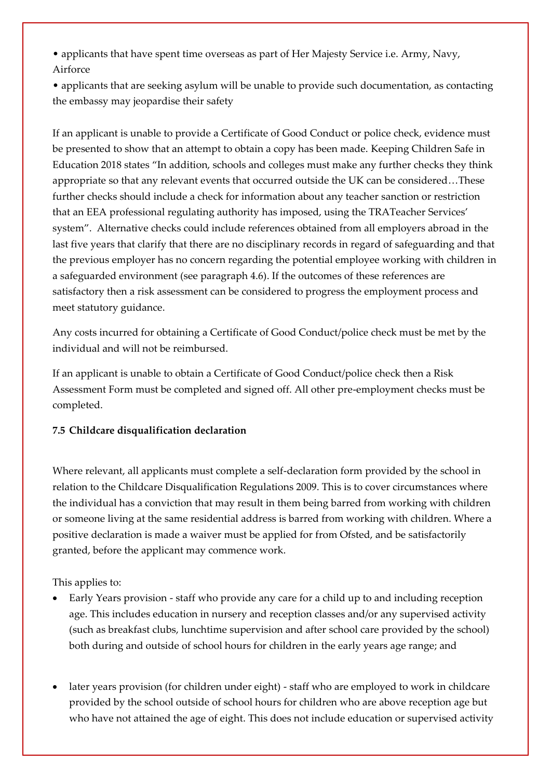• applicants that have spent time overseas as part of Her Majesty Service i.e. Army, Navy, Airforce

• applicants that are seeking asylum will be unable to provide such documentation, as contacting the embassy may jeopardise their safety

If an applicant is unable to provide a Certificate of Good Conduct or police check, evidence must be presented to show that an attempt to obtain a copy has been made. Keeping Children Safe in Education 2018 states "In addition, schools and colleges must make any further checks they think appropriate so that any relevant events that occurred outside the UK can be considered…These further checks should include a check for information about any teacher sanction or restriction that an EEA professional regulating authority has imposed, using the TRATeacher Services' system". Alternative checks could include references obtained from all employers abroad in the last five years that clarify that there are no disciplinary records in regard of safeguarding and that the previous employer has no concern regarding the potential employee working with children in a safeguarded environment (see paragraph 4.6). If the outcomes of these references are satisfactory then a risk assessment can be considered to progress the employment process and meet statutory guidance.

Any costs incurred for obtaining a Certificate of Good Conduct/police check must be met by the individual and will not be reimbursed.

If an applicant is unable to obtain a Certificate of Good Conduct/police check then a Risk Assessment Form must be completed and signed off. All other pre-employment checks must be completed.

## **7.5 Childcare disqualification declaration**

Where relevant, all applicants must complete a self-declaration form provided by the school in relation to the Childcare Disqualification Regulations 2009. This is to cover circumstances where the individual has a conviction that may result in them being barred from working with children or someone living at the same residential address is barred from working with children. Where a positive declaration is made a waiver must be applied for from Ofsted, and be satisfactorily granted, before the applicant may commence work.

## This applies to:

- Early Years provision staff who provide any care for a child up to and including reception age. This includes education in nursery and reception classes and/or any supervised activity (such as breakfast clubs, lunchtime supervision and after school care provided by the school) both during and outside of school hours for children in the early years age range; and
- later years provision (for children under eight) staff who are employed to work in childcare provided by the school outside of school hours for children who are above reception age but who have not attained the age of eight. This does not include education or supervised activity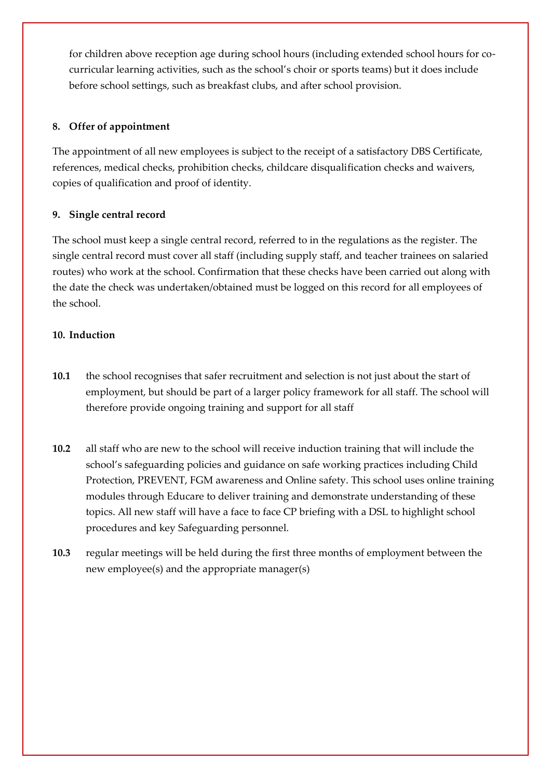for children above reception age during school hours (including extended school hours for cocurricular learning activities, such as the school's choir or sports teams) but it does include before school settings, such as breakfast clubs, and after school provision.

## **8. Offer of appointment**

The appointment of all new employees is subject to the receipt of a satisfactory DBS Certificate, references, medical checks, prohibition checks, childcare disqualification checks and waivers, copies of qualification and proof of identity.

### **9. Single central record**

The school must keep a single central record, referred to in the regulations as the register. The single central record must cover all staff (including supply staff, and teacher trainees on salaried routes) who work at the school. Confirmation that these checks have been carried out along with the date the check was undertaken/obtained must be logged on this record for all employees of the school.

### **10. Induction**

- **10.1** the school recognises that safer recruitment and selection is not just about the start of employment, but should be part of a larger policy framework for all staff. The school will therefore provide ongoing training and support for all staff
- **10.2** all staff who are new to the school will receive induction training that will include the school's safeguarding policies and guidance on safe working practices including Child Protection, PREVENT, FGM awareness and Online safety. This school uses online training modules through Educare to deliver training and demonstrate understanding of these topics. All new staff will have a face to face CP briefing with a DSL to highlight school procedures and key Safeguarding personnel.
- **10.3** regular meetings will be held during the first three months of employment between the new employee(s) and the appropriate manager(s)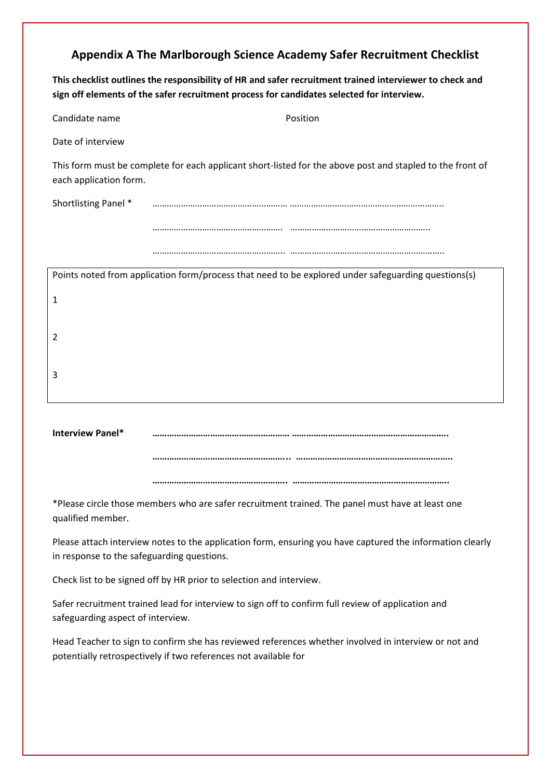# **Appendix A The Marlborough Science Academy Safer Recruitment Checklist**

**This checklist outlines the responsibility of HR and safer recruitment trained interviewer to check and sign off elements of the safer recruitment process for candidates selected for interview.** 

| Candidate name         | Position                                                                                                  |
|------------------------|-----------------------------------------------------------------------------------------------------------|
| Date of interview      |                                                                                                           |
| each application form. | This form must be complete for each applicant short-listed for the above post and stapled to the front of |
| Shortlisting Panel *   |                                                                                                           |
|                        |                                                                                                           |
|                        |                                                                                                           |
|                        | Dejate netod fueno candization foundanced that need to be curlented under oches unding una fuenza         |

| Points noted from application form/process that need to be explored under safeguarding questions(s) |
|-----------------------------------------------------------------------------------------------------|
| 1                                                                                                   |
|                                                                                                     |
| 2                                                                                                   |
|                                                                                                     |
| 3                                                                                                   |
|                                                                                                     |

| <b>Interview Panel*</b> |  |
|-------------------------|--|
|                         |  |

**………………………………………………... ………………………………………………………..**

\*Please circle those members who are safer recruitment trained. The panel must have at least one qualified member.

Please attach interview notes to the application form, ensuring you have captured the information clearly in response to the safeguarding questions.

Check list to be signed off by HR prior to selection and interview.

Safer recruitment trained lead for interview to sign off to confirm full review of application and safeguarding aspect of interview.

Head Teacher to sign to confirm she has reviewed references whether involved in interview or not and potentially retrospectively if two references not available for